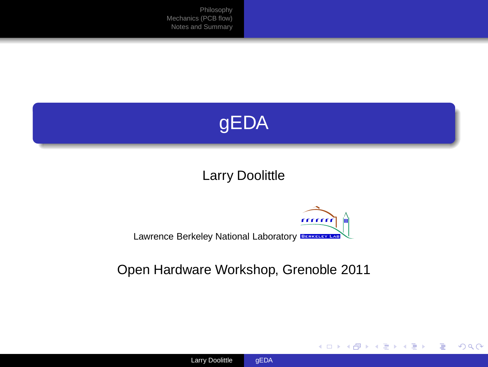

## Larry Doolittle

#### mm 'nд Lawrence Berkeley National Laboratory BERKELEY LAB

### Open Hardware Workshop, Grenoble 2011

K ロ ⊁ K 個 ≯ K 君 ⊁ K 君 ⊁

ŧ

<span id="page-0-0"></span> $298$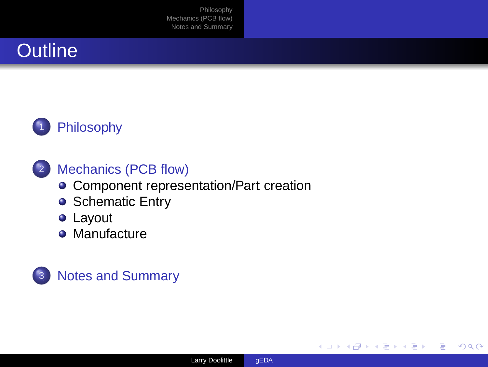





## <sup>2</sup> [Mechanics \(PCB flow\)](#page-5-0)

- **[Component representation/Part creation](#page-6-0)**
- **[Schematic Entry](#page-8-0)**
- [Layout](#page-9-0)
- **•** [Manufacture](#page-12-0)





4 D.K.  $\prec$   $298$ 

∍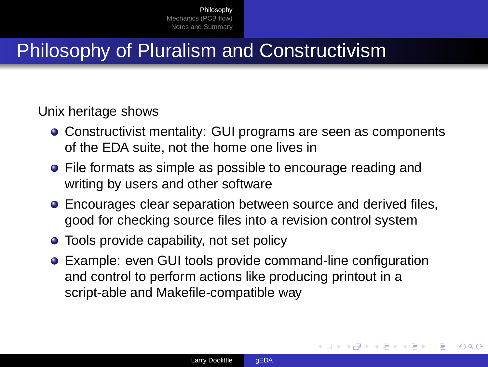# Philosophy of Pluralism and Constructivism

### Unix heritage shows

- Constructivist mentality: GUI programs are seen as components of the EDA suite, not the home one lives in
- File formats as simple as possible to encourage reading and writing by users and other software
- **Encourages clear separation between source and derived files,** good for checking source files into a revision control system
- **Tools provide capability, not set policy**
- Example: even GUI tools provide command-line configuration and control to perform actions like producing printout in a script-able and Makefile-compatible way

<span id="page-2-0"></span>つへへ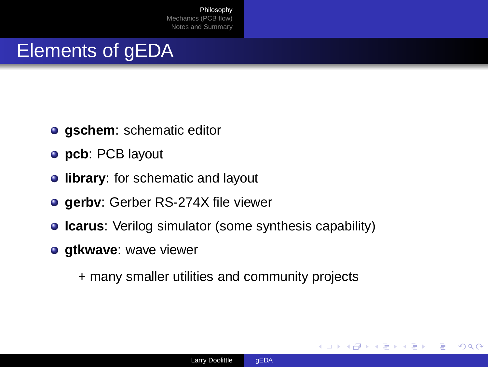# Elements of gEDA

- **gschem**: schematic editor
- **pcb**: PCB layout
- **· library:** for schematic and layout
- **gerbv**: Gerber RS-274X file viewer
- **Icarus:** Verilog simulator (some synthesis capability)
- **gtkwave**: wave viewer

+ many smaller utilities and community projects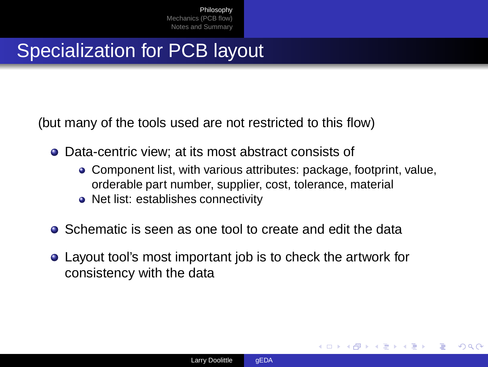# Specialization for PCB layout

(but many of the tools used are not restricted to this flow)

- Data-centric view: at its most abstract consists of
	- Component list, with various attributes: package, footprint, value, orderable part number, supplier, cost, tolerance, material

- Net list: establishes connectivity
- **•** Schematic is seen as one tool to create and edit the data
- Layout tool's most important job is to check the artwork for consistency with the data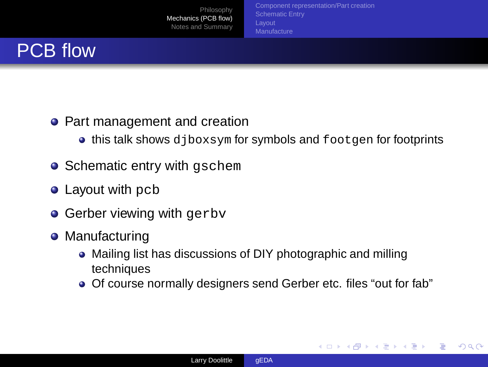[Component representation/Part creation](#page-6-0) **[Manufacture](#page-12-0)** 

∢ □ ▶ ≺ n<sup>3</sup>

<span id="page-5-0"></span> $298$ 



### • Part management and creation

- **this talk shows** djboxsym for symbols and footgen for footprints
- Schematic entry with gschem
- **Layout with pcb**
- **Gerber viewing with gerby**
- Manufacturing
	- Mailing list has discussions of DIY photographic and milling techniques
	- Of course normally designers send Gerber etc. files "out for fab"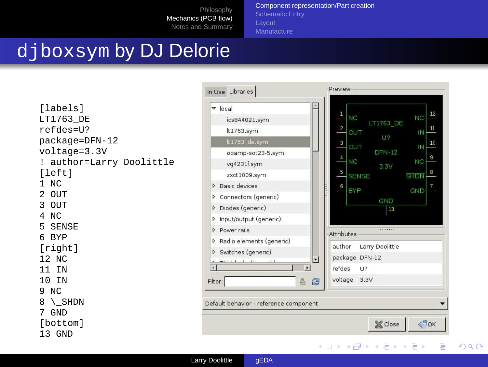[Component representation/Part creation](#page-6-0) [Schematic Entry](#page-8-0)

# djboxsym by DJ Delorie

```
[labels]
LT1763_DE
refdes=U?
package=DFN-12
voltage=3.3V
! author=Larry Doolittle
[left]
1 NC
2 OUT
3 OUT
4 NC
5 SENSE
6 BYP
[right]
12 NC
11 IN
10 IN
9 NC
8 \_SHDN
7 GND
[bottom]
13 GND
```


<span id="page-6-0"></span>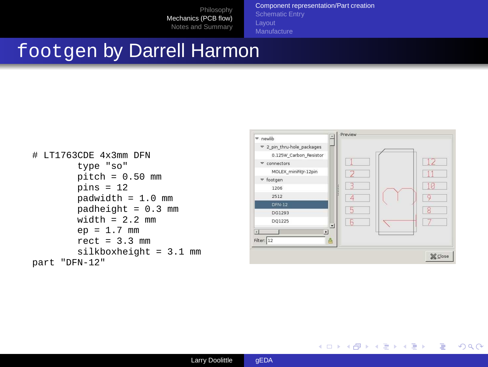[Component representation/Part creation](#page-6-0) [Schematic Entry](#page-8-0)

## footgen by Darrell Harmon

```
# LT1763CDE 4x3mm DFN
        type "so"
        pitch = 0.50 mm
        pins = 12padwidth = 1.0 mm
        padheight = 0.3 mm
        width = 2.2 mm
        ep = 1.7 mm
        rect = 3.3 mm
        silkboxheight = 3.1 mm
part "DFN-12"
```


K ロ ▶ K 御 ▶ K 君 ▶ K 君 ▶ ...

造

 $298$ 

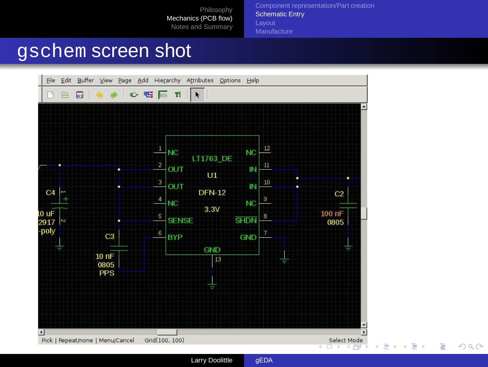[Component representation/Part creation](#page-6-0) [Schematic Entry](#page-8-0) [Manufacture](#page-12-0)

## gschem screen shot



Larry Doolittle [gEDA](#page-0-0)

<span id="page-8-0"></span> $299$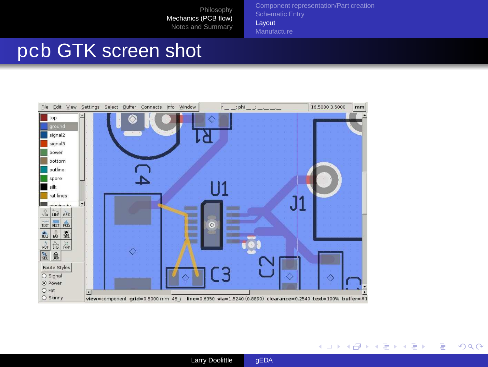[Component representation/Part creation](#page-6-0) [Schematic Entry](#page-8-0) [Layout](#page-9-0) **[Manufacture](#page-12-0)** 

# pcb GTK screen shot





<span id="page-9-0"></span> $299$ 

造

**≮ロト ⊀個 ▶ ≮ ヨ ▶ ⊀ ヨ ▶**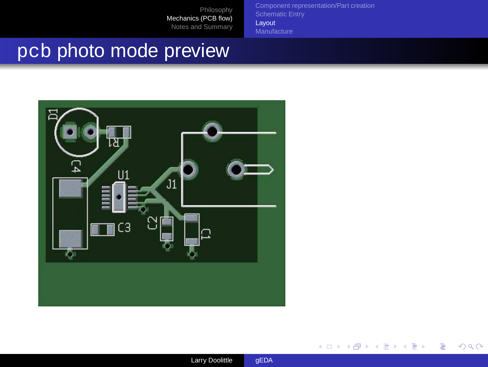[Layout](#page-9-0) **[Manufacture](#page-12-0)** 

# pcb photo mode preview

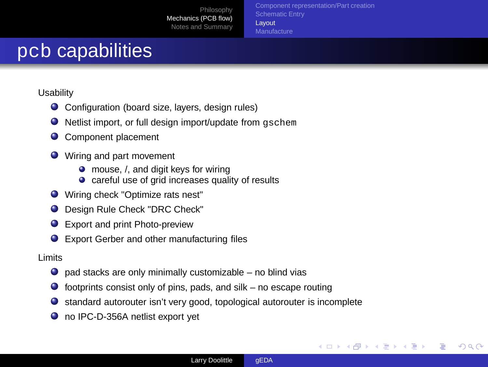[Component representation/Part creation](#page-6-0) [Layout](#page-9-0) **[Manufacture](#page-12-0)** 

## pcb capabilities

**Usability** 

- Configuration (board size, layers, design rules)
- $\bullet$  Netlist import, or full design import/update from  $aschem$
- Component placement
- **O** Wiring and part movement
	- mouse, /, and digit keys for wiring
	- careful use of grid increases quality of results
- Wiring check "Optimize rats nest"
- $\bullet$ Design Rule Check "DRC Check"
- Export and print Photo-preview
- Export Gerber and other manufacturing files

Limits

- $\bullet$  pad stacks are only minimally customizable no blind vias
- $\bullet$  footprints consist only of pins, pads, and silk no escape routing
- $\bullet$ standard autorouter isn't very good, topological autorouter is incomplete
- no IPC-D-356A netlist export vet

イロト イ押ト イヨト イヨト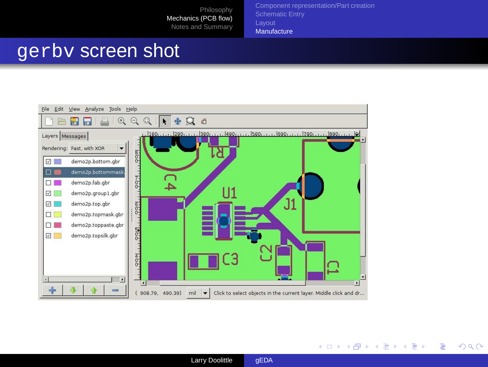[Component representation/Part creation](#page-6-0) **[Manufacture](#page-12-0)** 

## gerbv screen shot



<span id="page-12-0"></span>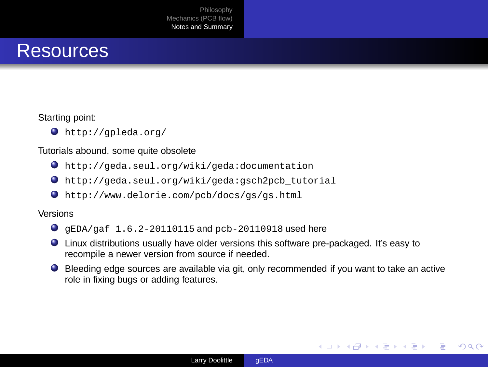

#### Starting point:

http://gpleda.org/

#### Tutorials abound, some quite obsolete

- http://geda.seul.org/wiki/geda:documentation
- http://geda.seul.org/wiki/geda:gsch2pcb\_tutorial
- http://www.delorie.com/pcb/docs/gs/gs.html

#### Versions

- $\bullet$   $\sigma$ EDA/gaf 1.6.2-20110115 and pcb-20110918 used here
- Linux distributions usually have older versions this software pre-packaged. It's easy to recompile a newer version from source if needed.
- Bleeding edge sources are available via git, only recommended if you want to take an active role in fixing bugs or adding features.



<span id="page-13-0"></span> $\mathcal{A} \ \equiv \ \mathcal{B} \ \ \mathcal{A} \ \equiv \ \mathcal{B}$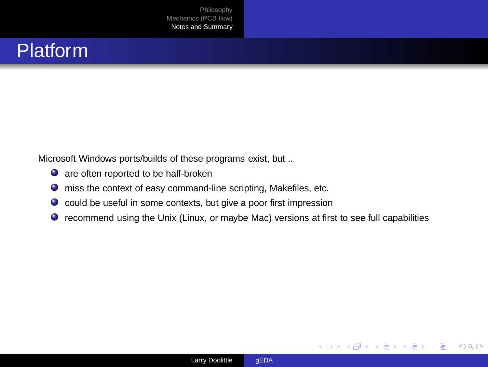

Microsoft Windows ports/builds of these programs exist, but ..

- $\bullet$  are often reported to be half-broken
- miss the context of easy command-line scripting, Makefiles, etc.
- $\bullet$  could be useful in some contexts, but give a poor first impression
- recommend using the Unix (Linux, or maybe Mac) versions at first to see full capabilities

∢ □ ▶ ∢ <sup>⊖</sup>

 $298$ 

œ.